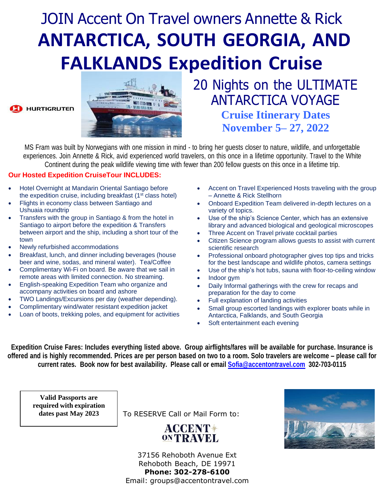# JOIN Accent On Travel owners Annette & Rick **ANTARCTICA, SOUTH GEORGIA, AND FALKLANDS Expedition Cruise**





20 Nights on the ULTIMATE ANTARCTICA VOYAGE

> **Cruise Itinerary Dates November 5– 27, 2022**

MS Fram was built by Norwegians with one mission in mind - to bring her guests closer to nature, wildlife, and unforgettable experiences. Join Annette & Rick, avid experienced world travelers, on this once in a lifetime opportunity. Travel to the White Continent during the peak wildlife viewing time with fewer than 200 fellow guests on this once in a lifetime trip.

### **Our Hosted Expedition CruiseTour INCLUDES:**

- Hotel Overnight at Mandarin Oriental Santiago before the expedition cruise, including breakfast (1<sup>st</sup> class hotel)
- Flights in economy class between Santiago and Ushuaia roundtrip
- Transfers with the group in Santiago & from the hotel in Santiago to airport before the expedition & Transfers between airport and the ship, including a short tour of the town
- Newly refurbished accommodations
- Breakfast, lunch, and dinner including beverages (house beer and wine, sodas, and mineral water). Tea/Coffee
- Complimentary Wi-Fi on board. Be aware that we sail in remote areas with limited connection. No streaming.
- English-speaking Expedition Team who organize and accompany activities on board and ashore
- TWO Landings/Excursions per day (weather depending).
- Complimentary wind/water resistant expedition jacket
- Loan of boots, trekking poles, and equipment for activities
- Accent on Travel Experienced Hosts traveling with the group – Annette & Rick Stellhorn
- Onboard Expedition Team delivered in-depth lectures on a variety of topics.
- Use of the ship's Science Center, which has an extensive library and advanced biological and geological microscopes
- Three Accent on Travel private cocktail parties
- Citizen Science program allows guests to assist with current scientific research
- Professional onboard photographer gives top tips and tricks for the best landscape and wildlife photos, camera settings
- Use of the ship's hot tubs, sauna with floor-to-ceiling window
- Indoor gym
- Daily Informal gatherings with the crew for recaps and preparation for the day to come
- Full explanation of landing activities
- Small group escorted landings with explorer boats while in Antarctica, Falklands, and South Georgia
- Soft entertainment each evening

Expedition Cruise Fares: Includes everything listed above. Group airflights/fares will be available for purchase. Insurance is offered and is highly recommended. Prices are per person based on two to a room. Solo travelers are welcome - please call for **current rates. Book now for best availability. Please call or email [Sofia@accentontravel.com](mailto:Sofia@accentontravel.com) 302-703-0115**

**Valid Passports are required with expiration dates past May 2023**

To RESERVE Call or Mail Form to:

## **ACCENT\*** ONTRAVEL



37156 Rehoboth Avenue Ext Rehoboth Beach, DE 19971 **Phone: 302-278-6100** Email: [groups@accentontravel.com](mailto:groups@accentontravel.com)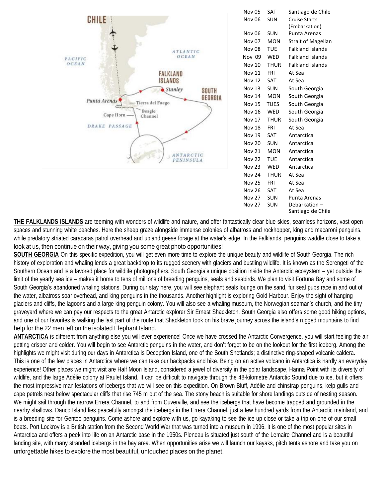

| <b>Nov 05</b> | <b>SAT</b>  | Santiago de Chile         |
|---------------|-------------|---------------------------|
| Nov 06        | <b>SUN</b>  | <b>Cruise Starts</b>      |
|               |             | (Embarkation)             |
| <b>Nov 06</b> | SUN         | Punta Arenas              |
| <b>Nov 07</b> | <b>MON</b>  | <b>Strait of Magellan</b> |
| <b>Nov 08</b> | TUE         | <b>Falkland Islands</b>   |
| Nov 09        | WED         | <b>Falkland Islands</b>   |
| Nov 10        | <b>THUR</b> | <b>Falkland Islands</b>   |
| <b>Nov 11</b> | FRI         | At Sea                    |
| <b>Nov 12</b> | <b>SAT</b>  | At Sea                    |
| <b>Nov 13</b> | <b>SUN</b>  | South Georgia             |
| <b>Nov 14</b> | <b>MON</b>  | South Georgia             |
| <b>Nov 15</b> | <b>TUES</b> | South Georgia             |
| <b>Nov 16</b> | WED         | South Georgia             |
| <b>Nov 17</b> | <b>THUR</b> | South Georgia             |
| <b>Nov 18</b> | FRI         | At Sea                    |
| <b>Nov 19</b> | <b>SAT</b>  | Antarctica                |
| <b>Nov 20</b> | SUN         | Antarctica                |
| <b>Nov 21</b> | <b>MON</b>  | Antarctica                |
| <b>Nov 22</b> | TUE         | Antarctica                |
| <b>Nov 23</b> | WED         | Antarctica                |
| <b>Nov 24</b> | <b>THUR</b> | At Sea                    |
| <b>Nov 25</b> | FRI         | At Sea                    |
| <b>Nov 26</b> | <b>SAT</b>  | At Sea                    |
| <b>Nov 27</b> | SUN         | Punta Arenas              |
| <b>Nov 27</b> | SUN         | Debarkation-              |
|               |             | Santiago de Chile         |

**THE FALKLANDS ISLANDS** are teeming with wonders of wildlife and nature, and offer fantastically clear blue skies, seamless horizons, vast open spaces and stunning white beaches. Here the sheep graze alongside immense colonies of albatross and rockhopper, king and macaroni penguins, while predatory striated caracaras patrol overhead and upland geese forage at the water's edge. In the Falklands, penguins waddle close to take a look at us, then continue on their way, giving you some great photo opportunities!

**SOUTH GEORGIA** On this specific expedition, you will get even more time to explore the unique beauty and wildlife of South Georgia. The rich history of exploration and whaling lends a great backdrop to its rugged scenery with glaciers and bustling wildlife. It is known as the Serengeti of the Southern Ocean and is a favored place for wildlife photographers. South Georgia's unique position inside the Antarctic ecosystem – yet outside the limit of the yearly sea ice – makes it home to tens of millions of breeding penguins, seals and seabirds. We plan to visit Fortuna Bay and some of South Georgia's abandoned whaling stations. During our stay here, you will see elephant seals lounge on the sand, fur seal pups race in and out of the water, albatross soar overhead, and king penguins in the thousands. Another highlight is exploring Gold Harbour. Enjoy the sight of hanging glaciers and cliffs, the lagoons and a large king penguin colony. You will also see a whaling museum, the Norwegian seaman's church, and the tiny graveyard where we can pay our respects to the great Antarctic explorer Sir Ernest Shackleton. South Georgia also offers some good hiking options, and one of our favorites is walking the last part of the route that Shackleton took on his brave journey across the island's rugged mountains to find help for the 22 men left on the isolated Elephant Island.

**ANTARCTICA** is different from anything else you will ever experience! Once we have crossed the Antarctic Convergence, you will start feeling the air getting crisper and colder. You will begin to see Antarctic penguins in the water, and don't forget to be on the lookout for the first iceberg. Among the highlights we might visit during our days in Antarctica is Deception Island, one of the South Shetlands; a distinctive ring-shaped volcanic caldera. This is one of the few places in Antarctica where we can take our backpacks and hike. Being on an active volcano in Antarctica is hardly an everyday experience! Other places we might visit are Half Moon Island, considered a jewel of diversity in the polar landscape, Hanna Point with its diversity of wildlife, and the large Adélie colony at Paulet Island. It can be difficult to navigate through the 48-kilometre Antarctic Sound due to ice, but it offers the most impressive manifestations of icebergs that we will see on this expedition. On Brown Bluff, Adélie and chinstrap penguins, kelp gulls and cape petrels nest below spectacular cliffs that rise 745 m out of the sea. The stony beach is suitable for shore landings outside of nesting season. We might sail through the narrow Errera Channel, to and from Cuverville, and see the icebergs that have become trapped and grounded in the nearby shallows. Danco Island lies peacefully amongst the icebergs in the Errera Channel, just a few hundred yards from the Antarctic mainland, and is a breeding site for Gentoo penguins. Come ashore and explore with us, go kayaking to see the ice up close or take a trip on one of our small boats. Port Lockroy is a British station from the Second World War that was turned into a museum in 1996. It is one of the most popular sites in Antarctica and offers a peek into life on an Antarctic base in the 1950s. Pleneau is situated just south of the Lemaire Channel and is a beautiful landing site, with many stranded icebergs in the bay area. When opportunities arise we will launch our kayaks, pitch tents ashore and take you on unforgettable hikes to explore the most beautiful, untouched places on the planet.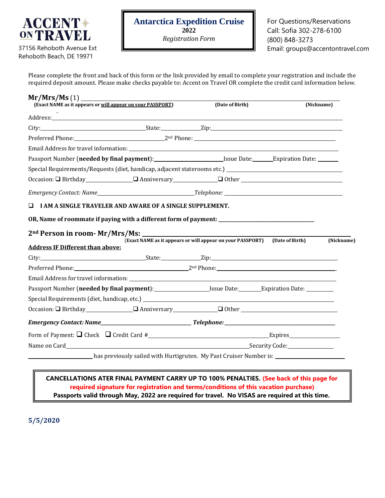

37156 Rehoboth Avenue Ext Rehoboth Beach, DE 19971

Please complete the front and back of this form or the link provided by email to complete your registration and include the required deposit amount. Please make checks payable to: Accent on Travel OR complete the credit card information below.

| Mr/Mrs/Ms(1)<br>(Exact NAME as it appears or will appear on your PASSPORT)                                                                                                                                                                                                                                                                                                                                                                                                                      |  | (Date of Birth)                                                            | (Nickname) |  |
|-------------------------------------------------------------------------------------------------------------------------------------------------------------------------------------------------------------------------------------------------------------------------------------------------------------------------------------------------------------------------------------------------------------------------------------------------------------------------------------------------|--|----------------------------------------------------------------------------|------------|--|
| Address: Address: Address: Address: Address: Address: Address: Address: Address: Address: Address: A                                                                                                                                                                                                                                                                                                                                                                                            |  |                                                                            |            |  |
|                                                                                                                                                                                                                                                                                                                                                                                                                                                                                                 |  |                                                                            |            |  |
| Preferred Phone: 2 <sup>nd</sup> Phone: 2 <sup>nd</sup> Phone: 2 <sup>nd</sup> Phone: 2 <sup>nd</sup> Phone: 2 <sup>nd</sup> Phone: 2 <sup>nd</sup> Phone: 2 <sup>nd</sup> Phone: 2 <sup>nd</sup> Phone: 2 <sup>nd</sup> Phone: 2 <sup>nd</sup> Phone: 2 <sup>nd</sup> Phone: 2 <sup>nd</sup> Phone: 2 <sup>nd</sup> Phone: 2 <sup>nd</sup> Phone: 2014                                                                                                                                         |  |                                                                            |            |  |
| Email Address for travel information: The state of the state of the state of the state of the state of the state of the state of the state of the state of the state of the state of the state of the state of the state of th                                                                                                                                                                                                                                                                  |  |                                                                            |            |  |
|                                                                                                                                                                                                                                                                                                                                                                                                                                                                                                 |  |                                                                            |            |  |
|                                                                                                                                                                                                                                                                                                                                                                                                                                                                                                 |  |                                                                            |            |  |
|                                                                                                                                                                                                                                                                                                                                                                                                                                                                                                 |  |                                                                            |            |  |
|                                                                                                                                                                                                                                                                                                                                                                                                                                                                                                 |  |                                                                            |            |  |
| ◻<br>I AM A SINGLE TRAVELER AND AWARE OF A SINGLE SUPPLEMENT.                                                                                                                                                                                                                                                                                                                                                                                                                                   |  |                                                                            |            |  |
|                                                                                                                                                                                                                                                                                                                                                                                                                                                                                                 |  |                                                                            |            |  |
|                                                                                                                                                                                                                                                                                                                                                                                                                                                                                                 |  |                                                                            |            |  |
|                                                                                                                                                                                                                                                                                                                                                                                                                                                                                                 |  |                                                                            |            |  |
|                                                                                                                                                                                                                                                                                                                                                                                                                                                                                                 |  |                                                                            |            |  |
|                                                                                                                                                                                                                                                                                                                                                                                                                                                                                                 |  | (Exact NAME as it appears or will appear on your PASSPORT) (Date of Birth) | (Nickname) |  |
|                                                                                                                                                                                                                                                                                                                                                                                                                                                                                                 |  |                                                                            |            |  |
|                                                                                                                                                                                                                                                                                                                                                                                                                                                                                                 |  |                                                                            |            |  |
| OR, Name of roommate if paying with a different form of payment: __________________________________<br>2 <sup>nd</sup> Person in room- Mr/Mrs/Ms:<br><b>Address IF Different than above:</b><br>City: City: City: City: City: City: City: City: City: City: City: City: City: City: City: City: City: City: City: City: City: City: City: City: City: City: City: City: City: City: City: City: City: City: City: City: City:<br>Preferred Phone: 2 <sup>nd</sup> Phone: 2 <sup>nd</sup> Phone: |  |                                                                            |            |  |
|                                                                                                                                                                                                                                                                                                                                                                                                                                                                                                 |  |                                                                            |            |  |
|                                                                                                                                                                                                                                                                                                                                                                                                                                                                                                 |  |                                                                            |            |  |
|                                                                                                                                                                                                                                                                                                                                                                                                                                                                                                 |  |                                                                            |            |  |
|                                                                                                                                                                                                                                                                                                                                                                                                                                                                                                 |  |                                                                            |            |  |
|                                                                                                                                                                                                                                                                                                                                                                                                                                                                                                 |  |                                                                            |            |  |
| $Occasion: \Box Birthday$ $\Box$ Anniversary $\Box$ Other $\Box$                                                                                                                                                                                                                                                                                                                                                                                                                                |  |                                                                            |            |  |

#### **CANCELLATIONS ATER FINAL PAYMENT CARRY UP TO 100% PENALTIES. (See back of this page for required signature for registration and terms/conditions of this vacation purchase) Passports valid through May, 2022 are required for travel. No VISAS are required at this time.**

**5/5/2020**